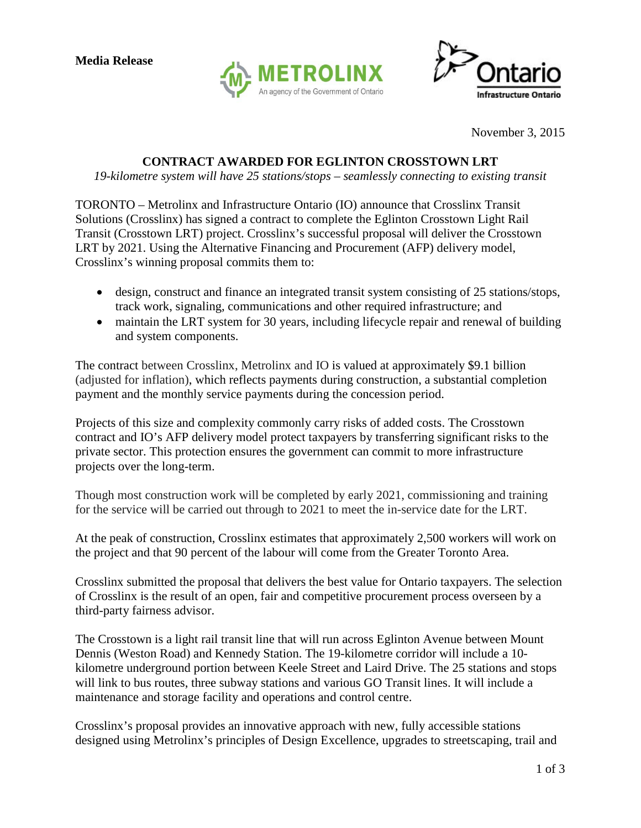



November 3, 2015

## **CONTRACT AWARDED FOR EGLINTON CROSSTOWN LRT**

*19-kilometre system will have 25 stations/stops – seamlessly connecting to existing transit* 

TORONTO – Metrolinx and Infrastructure Ontario (IO) announce that Crosslinx Transit Solutions (Crosslinx) has signed a contract to complete the Eglinton Crosstown Light Rail Transit (Crosstown LRT) project. Crosslinx's successful proposal will deliver the Crosstown LRT by 2021. Using the Alternative Financing and Procurement (AFP) delivery model, Crosslinx's winning proposal commits them to:

- design, construct and finance an integrated transit system consisting of 25 stations/stops, track work, signaling, communications and other required infrastructure; and
- maintain the LRT system for 30 years, including lifecycle repair and renewal of building and system components.

The contract between Crosslinx, Metrolinx and IO is valued at approximately \$9.1 billion (adjusted for inflation), which reflects payments during construction, a substantial completion payment and the monthly service payments during the concession period.

Projects of this size and complexity commonly carry risks of added costs. The Crosstown contract and IO's AFP delivery model protect taxpayers by transferring significant risks to the private sector. This protection ensures the government can commit to more infrastructure projects over the long-term.

Though most construction work will be completed by early 2021, commissioning and training for the service will be carried out through to 2021 to meet the in-service date for the LRT.

At the peak of construction, Crosslinx estimates that approximately 2,500 workers will work on the project and that 90 percent of the labour will come from the Greater Toronto Area.

Crosslinx submitted the proposal that delivers the best value for Ontario taxpayers. The selection of Crosslinx is the result of an open, fair and competitive procurement process overseen by a third-party fairness advisor.

The Crosstown is a light rail transit line that will run across Eglinton Avenue between Mount Dennis (Weston Road) and Kennedy Station. The 19-kilometre corridor will include a 10 kilometre underground portion between Keele Street and Laird Drive. The 25 stations and stops will link to bus routes, three subway stations and various GO Transit lines. It will include a maintenance and storage facility and operations and control centre.

Crosslinx's proposal provides an innovative approach with new, fully accessible stations designed using Metrolinx's principles of Design Excellence, upgrades to streetscaping, trail and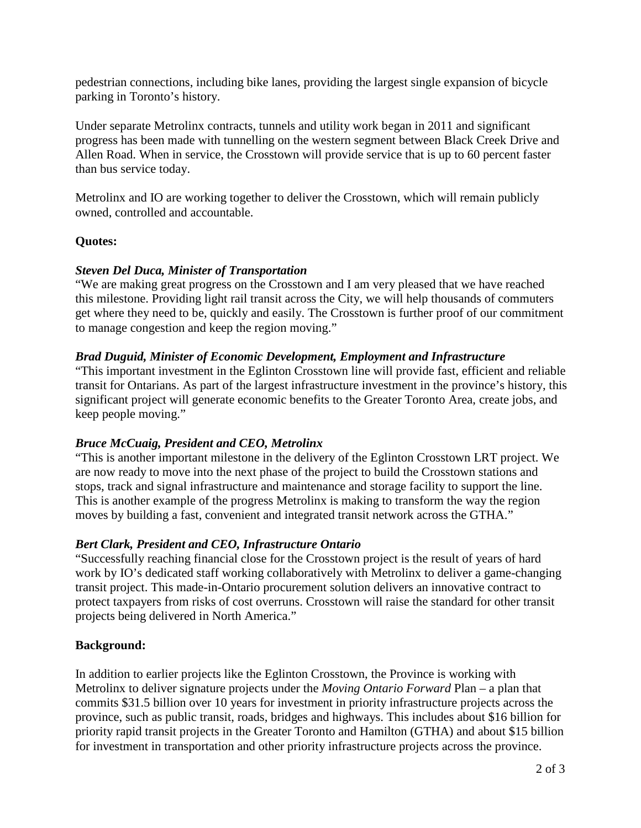pedestrian connections, including bike lanes, providing the largest single expansion of bicycle parking in Toronto's history.

Under separate Metrolinx contracts, tunnels and utility work began in 2011 and significant progress has been made with tunnelling on the western segment between Black Creek Drive and Allen Road. When in service, the Crosstown will provide service that is up to 60 percent faster than bus service today.

Metrolinx and IO are working together to deliver the Crosstown, which will remain publicly owned, controlled and accountable.

# **Quotes:**

# *Steven Del Duca, Minister of Transportation*

"We are making great progress on the Crosstown and I am very pleased that we have reached this milestone. Providing light rail transit across the City, we will help thousands of commuters get where they need to be, quickly and easily. The Crosstown is further proof of our commitment to manage congestion and keep the region moving."

## *Brad Duguid, Minister of Economic Development, Employment and Infrastructure*

"This important investment in the Eglinton Crosstown line will provide fast, efficient and reliable transit for Ontarians. As part of the largest infrastructure investment in the province's history, this significant project will generate economic benefits to the Greater Toronto Area, create jobs, and keep people moving."

# *Bruce McCuaig, President and CEO, Metrolinx*

"This is another important milestone in the delivery of the Eglinton Crosstown LRT project. We are now ready to move into the next phase of the project to build the Crosstown stations and stops, track and signal infrastructure and maintenance and storage facility to support the line. This is another example of the progress Metrolinx is making to transform the way the region moves by building a fast, convenient and integrated transit network across the GTHA."

# *Bert Clark, President and CEO, Infrastructure Ontario*

"Successfully reaching financial close for the Crosstown project is the result of years of hard work by IO's dedicated staff working collaboratively with Metrolinx to deliver a game-changing transit project. This made-in-Ontario procurement solution delivers an innovative contract to protect taxpayers from risks of cost overruns. Crosstown will raise the standard for other transit projects being delivered in North America."

### **Background:**

In addition to earlier projects like the Eglinton Crosstown, the Province is working with Metrolinx to deliver signature projects under the *Moving Ontario Forward* Plan – a plan that commits \$31.5 billion over 10 years for investment in priority infrastructure projects across the province, such as public transit, roads, bridges and highways. This includes about \$16 billion for priority rapid transit projects in the Greater Toronto and Hamilton (GTHA) and about \$15 billion for investment in transportation and other priority infrastructure projects across the province.